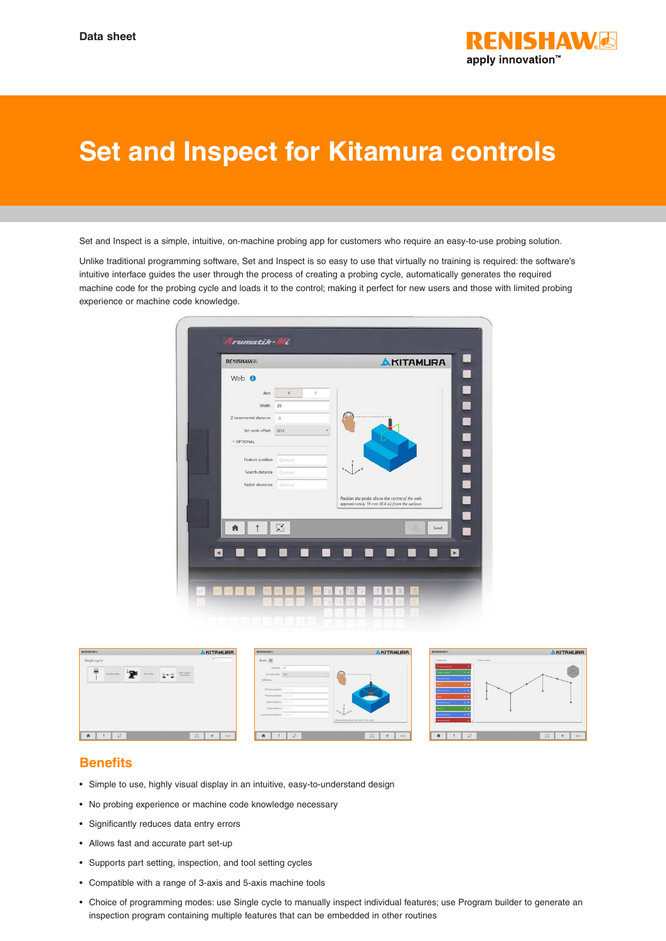

## **Set and Inspect for Kitamura controls**

Set and Inspect is a simple, intuitive, on-machine probing app for customers who require an easy-to-use probing solution.

Unlike traditional programming software, Set and Inspect is so easy to use that virtually no training is required: the software's intuitive interface guides the user through the process of creating a probing cycle, automatically generates the required machine code for the probing cycle and loads it to the control; making it perfect for new users and those with limited probing experience or machine code knowledge.





## **Benefits**

- Simple to use, highly visual display in an intuitive, easy-to-understand design
- No probing experience or machine code knowledge necessary
- Significantly reduces data entry errors
- Allows fast and accurate part set-up
- Supports part setting, inspection, and tool setting cycles
- Compatible with a range of 3-axis and 5-axis machine tools
- Choice of programming modes: use Single cycle to manually inspect individual features; use Program builder to generate an inspection program containing multiple features that can be embedded in other routines